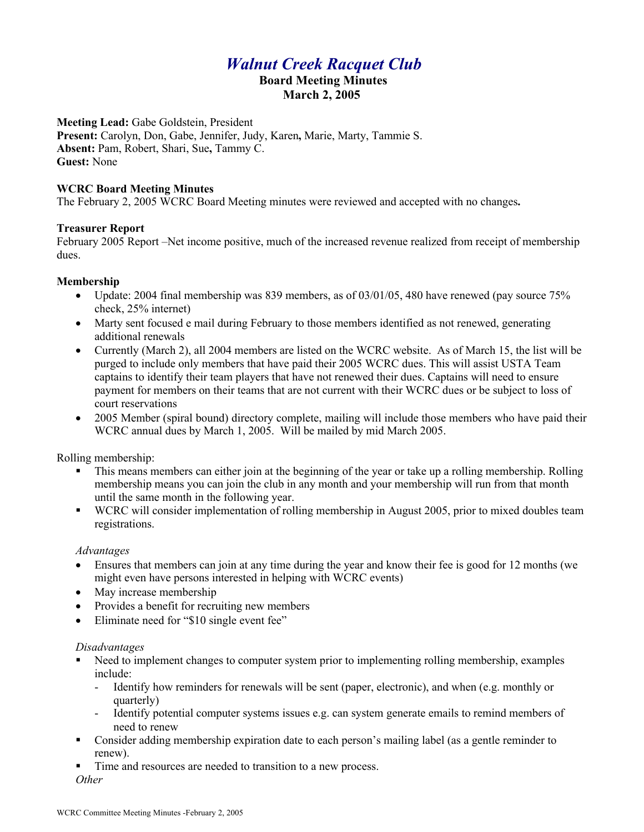# *Walnut Creek Racquet Club*  **Board Meeting Minutes March 2, 2005**

**Meeting Lead:** Gabe Goldstein, President **Present:** Carolyn, Don, Gabe, Jennifer, Judy, Karen**,** Marie, Marty, Tammie S. **Absent:** Pam, Robert, Shari, Sue**,** Tammy C. **Guest:** None

#### **WCRC Board Meeting Minutes**

The February 2, 2005 WCRC Board Meeting minutes were reviewed and accepted with no changes**.** 

#### **Treasurer Report**

February 2005 Report –Net income positive, much of the increased revenue realized from receipt of membership dues.

#### **Membership**

- Update: 2004 final membership was 839 members, as of  $03/01/05$ , 480 have renewed (pay source 75%) check, 25% internet)
- Marty sent focused e mail during February to those members identified as not renewed, generating additional renewals
- Currently (March 2), all 2004 members are listed on the WCRC website. As of March 15, the list will be purged to include only members that have paid their 2005 WCRC dues. This will assist USTA Team captains to identify their team players that have not renewed their dues. Captains will need to ensure payment for members on their teams that are not current with their WCRC dues or be subject to loss of court reservations
- 2005 Member (spiral bound) directory complete, mailing will include those members who have paid their WCRC annual dues by March 1, 2005. Will be mailed by mid March 2005.

Rolling membership:

- This means members can either join at the beginning of the year or take up a rolling membership. Rolling membership means you can join the club in any month and your membership will run from that month until the same month in the following year.
- § WCRC will consider implementation of rolling membership in August 2005, prior to mixed doubles team registrations.

#### *Advantages*

- Ensures that members can join at any time during the year and know their fee is good for 12 months (we might even have persons interested in helping with WCRC events)
- May increase membership
- Provides a benefit for recruiting new members
- Eliminate need for "\$10 single event fee"

#### *Disadvantages*

- Need to implement changes to computer system prior to implementing rolling membership, examples include:
	- Identify how reminders for renewals will be sent (paper, electronic), and when (e.g. monthly or quarterly)
	- Identify potential computer systems issues e.g. can system generate emails to remind members of need to renew
- Consider adding membership expiration date to each person's mailing label (as a gentle reminder to renew).
- Time and resources are needed to transition to a new process.

*Other*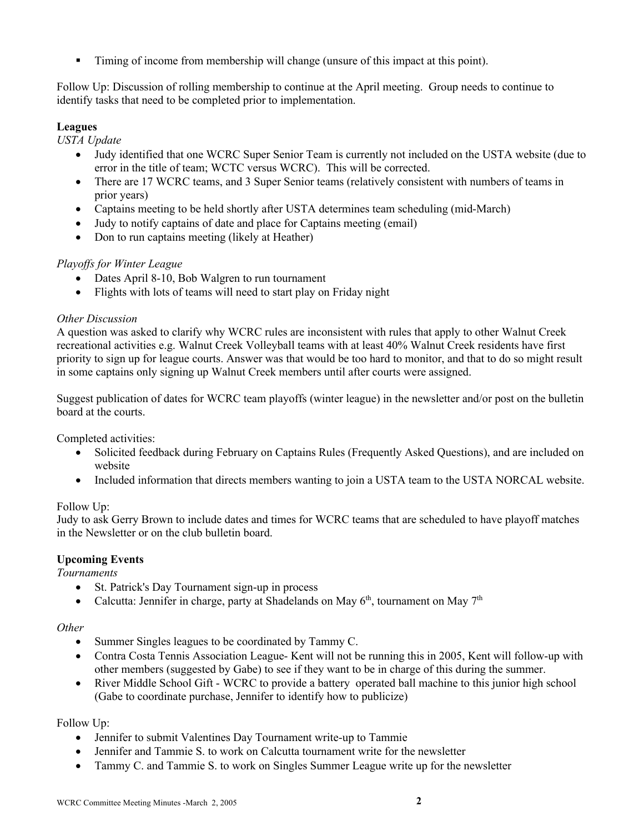§ Timing of income from membership will change (unsure of this impact at this point).

Follow Up: Discussion of rolling membership to continue at the April meeting. Group needs to continue to identify tasks that need to be completed prior to implementation.

# **Leagues**

*USTA Update*

- Judy identified that one WCRC Super Senior Team is currently not included on the USTA website (due to error in the title of team; WCTC versus WCRC). This will be corrected.
- There are 17 WCRC teams, and 3 Super Senior teams (relatively consistent with numbers of teams in prior years)
- Captains meeting to be held shortly after USTA determines team scheduling (mid-March)
- Judy to notify captains of date and place for Captains meeting (email)
- Don to run captains meeting (likely at Heather)

# *Playoffs for Winter League*

- Dates April 8-10, Bob Walgren to run tournament
- Flights with lots of teams will need to start play on Friday night

## *Other Discussion*

A question was asked to clarify why WCRC rules are inconsistent with rules that apply to other Walnut Creek recreational activities e.g. Walnut Creek Volleyball teams with at least 40% Walnut Creek residents have first priority to sign up for league courts. Answer was that would be too hard to monitor, and that to do so might result in some captains only signing up Walnut Creek members until after courts were assigned.

Suggest publication of dates for WCRC team playoffs (winter league) in the newsletter and/or post on the bulletin board at the courts.

Completed activities:

- Solicited feedback during February on Captains Rules (Frequently Asked Questions), and are included on website
- Included information that directs members wanting to join a USTA team to the USTA NORCAL website.

## Follow Up:

Judy to ask Gerry Brown to include dates and times for WCRC teams that are scheduled to have playoff matches in the Newsletter or on the club bulletin board.

## **Upcoming Events**

*Tournaments*

- St. Patrick's Day Tournament sign-up in process
- Calcutta: Jennifer in charge, party at Shadelands on May  $6<sup>th</sup>$ , tournament on May  $7<sup>th</sup>$

#### *Other*

- Summer Singles leagues to be coordinated by Tammy C.
- Contra Costa Tennis Association League- Kent will not be running this in 2005, Kent will follow-up with other members (suggested by Gabe) to see if they want to be in charge of this during the summer.
- River Middle School Gift WCRC to provide a battery operated ball machine to this junior high school (Gabe to coordinate purchase, Jennifer to identify how to publicize)

## Follow Up:

- Jennifer to submit Valentines Day Tournament write-up to Tammie
- Jennifer and Tammie S. to work on Calcutta tournament write for the newsletter
- Tammy C. and Tammie S. to work on Singles Summer League write up for the newsletter